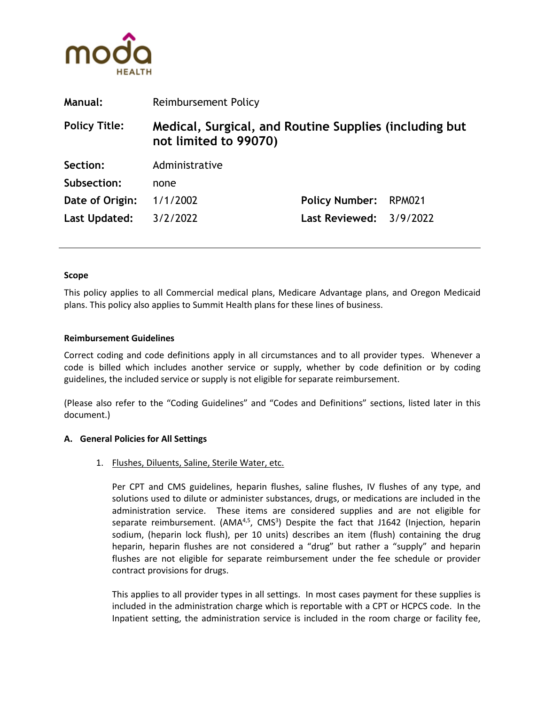

| <b>Manual:</b>       | <b>Reimbursement Policy</b>                                                     |                           |               |
|----------------------|---------------------------------------------------------------------------------|---------------------------|---------------|
| <b>Policy Title:</b> | Medical, Surgical, and Routine Supplies (including but<br>not limited to 99070) |                           |               |
| Section:             | Administrative                                                                  |                           |               |
| Subsection:          | none                                                                            |                           |               |
| Date of Origin:      | 1/1/2002                                                                        | <b>Policy Number:</b>     | <b>RPM021</b> |
| Last Updated:        | 3/2/2022                                                                        | Last Reviewed: $3/9/2022$ |               |

### **Scope**

This policy applies to all Commercial medical plans, Medicare Advantage plans, and Oregon Medicaid plans. This policy also applies to Summit Health plans for these lines of business.

### **Reimbursement Guidelines**

Correct coding and code definitions apply in all circumstances and to all provider types. Whenever a code is billed which includes another service or supply, whether by code definition or by coding guidelines, the included service or supply is not eligible for separate reimbursement.

(Please also refer to the "Coding Guidelines" and "Codes and Definitions" sections, listed later in this document.)

#### **A. General Policies for All Settings**

## 1. Flushes, Diluents, Saline, Sterile Water, etc.

Per CPT and CMS guidelines, heparin flushes, saline flushes, IV flushes of any type, and solutions used to dilute or administer substances, drugs, or medications are included in the administration service. These items are considered supplies and are not eligible for separate reimbursement. (AMA<sup>4,5</sup>, CMS<sup>3</sup>) Despite the fact that J1642 (Injection, heparin sodium, (heparin lock flush), per 10 units) describes an item (flush) containing the drug heparin, heparin flushes are not considered a "drug" but rather a "supply" and heparin flushes are not eligible for separate reimbursement under the fee schedule or provider contract provisions for drugs.

This applies to all provider types in all settings. In most cases payment for these supplies is included in the administration charge which is reportable with a CPT or HCPCS code. In the Inpatient setting, the administration service is included in the room charge or facility fee,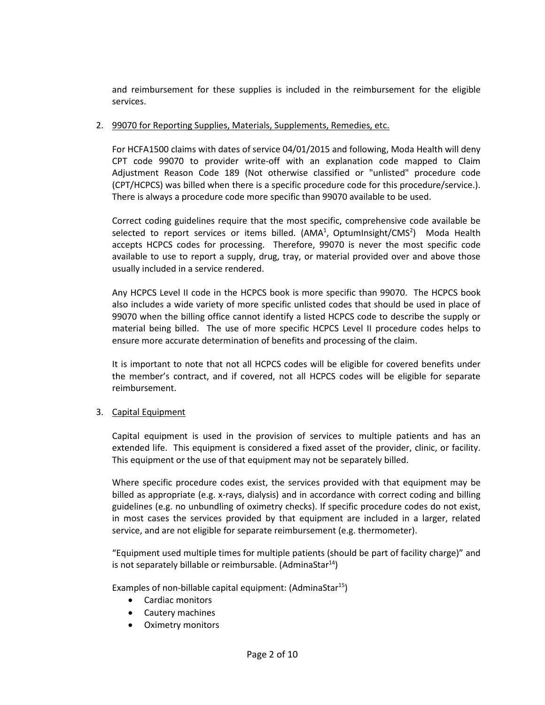and reimbursement for these supplies is included in the reimbursement for the eligible services.

## 2. 99070 for Reporting Supplies, Materials, Supplements, Remedies, etc.

For HCFA1500 claims with dates of service 04/01/2015 and following, Moda Health will deny CPT code 99070 to provider write-off with an explanation code mapped to Claim Adjustment Reason Code 189 (Not otherwise classified or "unlisted" procedure code (CPT/HCPCS) was billed when there is a specific procedure code for this procedure/service.). There is always a procedure code more specific than 99070 available to be used.

Correct coding guidelines require that the most specific, comprehensive code available be selected to report services or items billed. (AMA<sup>1</sup>, OptumInsight/CMS<sup>2</sup>) Moda Health accepts HCPCS codes for processing. Therefore, 99070 is never the most specific code available to use to report a supply, drug, tray, or material provided over and above those usually included in a service rendered.

Any HCPCS Level II code in the HCPCS book is more specific than 99070. The HCPCS book also includes a wide variety of more specific unlisted codes that should be used in place of 99070 when the billing office cannot identify a listed HCPCS code to describe the supply or material being billed. The use of more specific HCPCS Level II procedure codes helps to ensure more accurate determination of benefits and processing of the claim.

It is important to note that not all HCPCS codes will be eligible for covered benefits under the member's contract, and if covered, not all HCPCS codes will be eligible for separate reimbursement.

# 3. Capital Equipment

Capital equipment is used in the provision of services to multiple patients and has an extended life. This equipment is considered a fixed asset of the provider, clinic, or facility. This equipment or the use of that equipment may not be separately billed.

Where specific procedure codes exist, the services provided with that equipment may be billed as appropriate (e.g. x-rays, dialysis) and in accordance with correct coding and billing guidelines (e.g. no unbundling of oximetry checks). If specific procedure codes do not exist, in most cases the services provided by that equipment are included in a larger, related service, and are not eligible for separate reimbursement (e.g. thermometer).

"Equipment used multiple times for multiple patients (should be part of facility charge)" and is not separately billable or reimbursable. (AdminaStar<sup>14</sup>)

Examples of non-billable capital equipment:  $(Adminastar^{15})$ 

- Cardiac monitors
- Cautery machines
- Oximetry monitors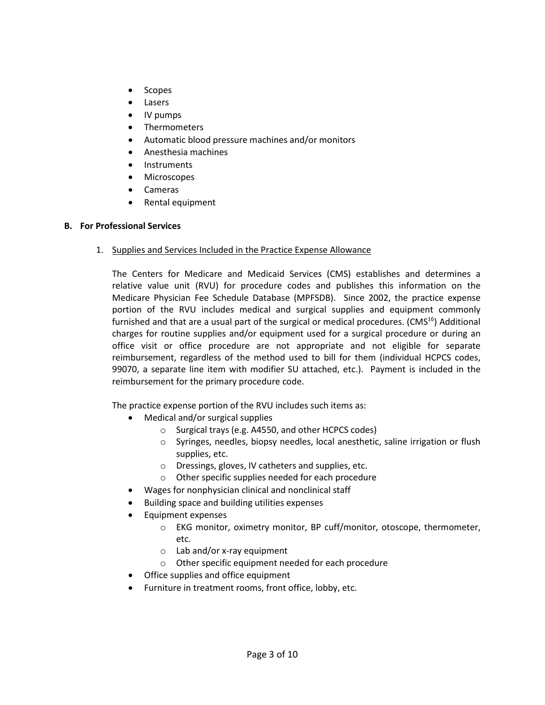- Scopes
- Lasers
- IV pumps
- Thermometers
- Automatic blood pressure machines and/or monitors
- Anesthesia machines
- Instruments
- **Microscopes**
- Cameras
- Rental equipment

## **B. For Professional Services**

1. Supplies and Services Included in the Practice Expense Allowance

The Centers for Medicare and Medicaid Services (CMS) establishes and determines a relative value unit (RVU) for procedure codes and publishes this information on the Medicare Physician Fee Schedule Database (MPFSDB). Since 2002, the practice expense portion of the RVU includes medical and surgical supplies and equipment commonly furnished and that are a usual part of the surgical or medical procedures. (CMS<sup>16</sup>) Additional charges for routine supplies and/or equipment used for a surgical procedure or during an office visit or office procedure are not appropriate and not eligible for separate reimbursement, regardless of the method used to bill for them (individual HCPCS codes, 99070, a separate line item with modifier SU attached, etc.). Payment is included in the reimbursement for the primary procedure code.

The practice expense portion of the RVU includes such items as:

- Medical and/or surgical supplies
	- o Surgical trays (e.g. A4550, and other HCPCS codes)
	- o Syringes, needles, biopsy needles, local anesthetic, saline irrigation or flush supplies, etc.
	- o Dressings, gloves, IV catheters and supplies, etc.
	- o Other specific supplies needed for each procedure
- Wages for nonphysician clinical and nonclinical staff
- Building space and building utilities expenses
- Equipment expenses
	- o EKG monitor, oximetry monitor, BP cuff/monitor, otoscope, thermometer, etc.
	- o Lab and/or x-ray equipment
	- o Other specific equipment needed for each procedure
- Office supplies and office equipment
- Furniture in treatment rooms, front office, lobby, etc.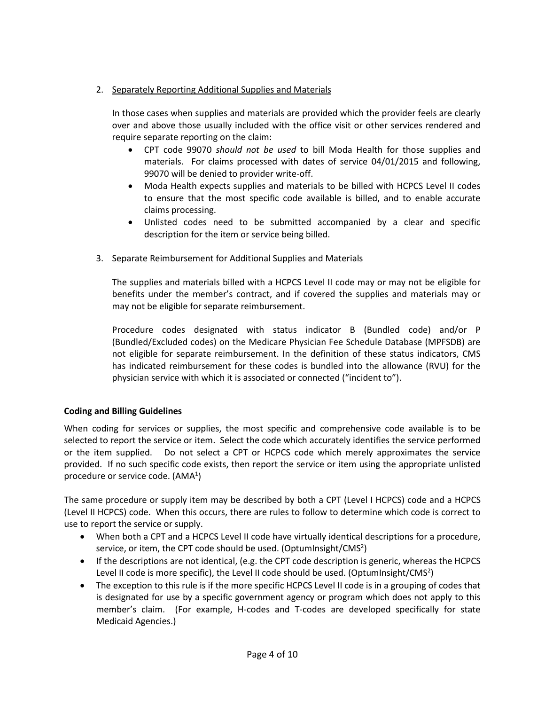# 2. Separately Reporting Additional Supplies and Materials

In those cases when supplies and materials are provided which the provider feels are clearly over and above those usually included with the office visit or other services rendered and require separate reporting on the claim:

- CPT code 99070 *should not be used* to bill Moda Health for those supplies and materials. For claims processed with dates of service 04/01/2015 and following, 99070 will be denied to provider write-off.
- Moda Health expects supplies and materials to be billed with HCPCS Level II codes to ensure that the most specific code available is billed, and to enable accurate claims processing.
- Unlisted codes need to be submitted accompanied by a clear and specific description for the item or service being billed.

# 3. Separate Reimbursement for Additional Supplies and Materials

The supplies and materials billed with a HCPCS Level II code may or may not be eligible for benefits under the member's contract, and if covered the supplies and materials may or may not be eligible for separate reimbursement.

Procedure codes designated with status indicator B (Bundled code) and/or P (Bundled/Excluded codes) on the Medicare Physician Fee Schedule Database (MPFSDB) are not eligible for separate reimbursement. In the definition of these status indicators, CMS has indicated reimbursement for these codes is bundled into the allowance (RVU) for the physician service with which it is associated or connected ("incident to").

# **Coding and Billing Guidelines**

When coding for services or supplies, the most specific and comprehensive code available is to be selected to report the service or item. Select the code which accurately identifies the service performed or the item supplied. Do not select a CPT or HCPCS code which merely approximates the service provided. If no such specific code exists, then report the service or item using the appropriate unlisted procedure or service code. (AMA<sup>1</sup>)

The same procedure or supply item may be described by both a CPT (Level I HCPCS) code and a HCPCS (Level II HCPCS) code. When this occurs, there are rules to follow to determine which code is correct to use to report the service or supply.

- When both a CPT and a HCPCS Level II code have virtually identical descriptions for a procedure, service, or item, the CPT code should be used. (OptumInsight/CMS<sup>2</sup>)
- If the descriptions are not identical, (e.g. the CPT code description is generic, whereas the HCPCS Level II code is more specific), the Level II code should be used. (OptumInsight/CMS<sup>2</sup>)
- The exception to this rule is if the more specific HCPCS Level II code is in a grouping of codes that is designated for use by a specific government agency or program which does not apply to this member's claim. (For example, H-codes and T-codes are developed specifically for state Medicaid Agencies.)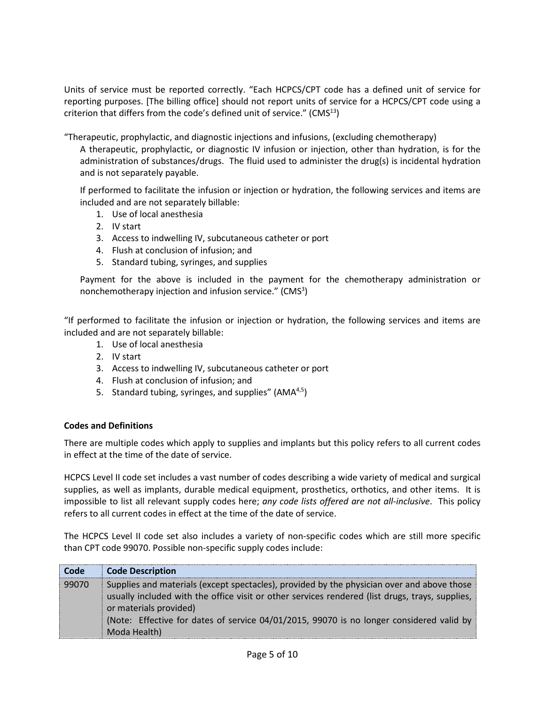Units of service must be reported correctly. "Each HCPCS/CPT code has a defined unit of service for reporting purposes. [The billing office] should not report units of service for a HCPCS/CPT code using a criterion that differs from the code's defined unit of service."  $(CMS<sup>13</sup>)$ 

"Therapeutic, prophylactic, and diagnostic injections and infusions, (excluding chemotherapy)

A therapeutic, prophylactic, or diagnostic IV infusion or injection, other than hydration, is for the administration of substances/drugs. The fluid used to administer the drug(s) is incidental hydration and is not separately payable.

If performed to facilitate the infusion or injection or hydration, the following services and items are included and are not separately billable:

- 1. Use of local anesthesia
- 2. IV start
- 3. Access to indwelling IV, subcutaneous catheter or port
- 4. Flush at conclusion of infusion; and
- 5. Standard tubing, syringes, and supplies

Payment for the above is included in the payment for the chemotherapy administration or nonchemotherapy injection and infusion service." (CMS<sup>3</sup>)

"If performed to facilitate the infusion or injection or hydration, the following services and items are included and are not separately billable:

- 1. Use of local anesthesia
- 2. IV start
- 3. Access to indwelling IV, subcutaneous catheter or port
- 4. Flush at conclusion of infusion; and
- 5. Standard tubing, syringes, and supplies" (AMA<sup>4,5</sup>)

## **Codes and Definitions**

There are multiple codes which apply to supplies and implants but this policy refers to all current codes in effect at the time of the date of service.

HCPCS Level II code set includes a vast number of codes describing a wide variety of medical and surgical supplies, as well as implants, durable medical equipment, prosthetics, orthotics, and other items. It is impossible to list all relevant supply codes here; *any code lists offered are not all-inclusive*. This policy refers to all current codes in effect at the time of the date of service.

The HCPCS Level II code set also includes a variety of non-specific codes which are still more specific than CPT code 99070. Possible non-specific supply codes include:

| Code  | <b>Code Description</b>                                                                                                                                                                                                                                                                                                             |
|-------|-------------------------------------------------------------------------------------------------------------------------------------------------------------------------------------------------------------------------------------------------------------------------------------------------------------------------------------|
| 99070 | Supplies and materials (except spectacles), provided by the physician over and above those<br>usually included with the office visit or other services rendered (list drugs, trays, supplies,<br>or materials provided)<br>(Note: Effective for dates of service 04/01/2015, 99070 is no longer considered valid by<br>Moda Health) |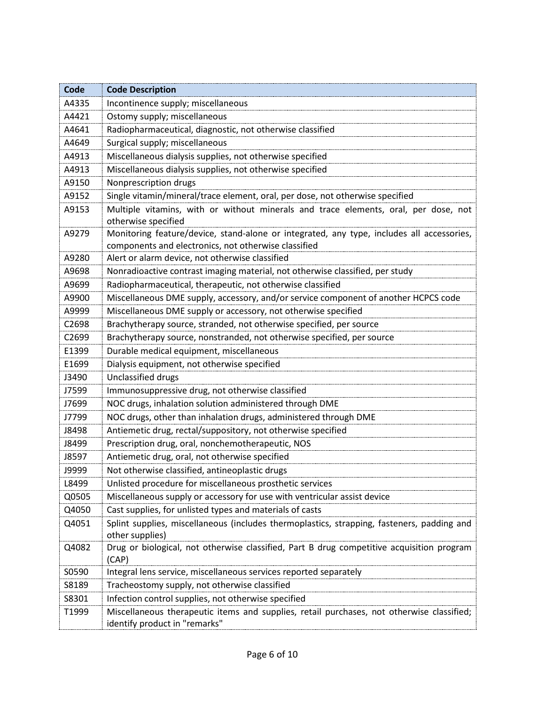| Code  | <b>Code Description</b>                                                                                                                           |
|-------|---------------------------------------------------------------------------------------------------------------------------------------------------|
| A4335 | Incontinence supply; miscellaneous                                                                                                                |
| A4421 | Ostomy supply; miscellaneous                                                                                                                      |
| A4641 | Radiopharmaceutical, diagnostic, not otherwise classified                                                                                         |
| A4649 | Surgical supply; miscellaneous                                                                                                                    |
| A4913 | Miscellaneous dialysis supplies, not otherwise specified                                                                                          |
| A4913 | Miscellaneous dialysis supplies, not otherwise specified                                                                                          |
| A9150 | Nonprescription drugs                                                                                                                             |
| A9152 | Single vitamin/mineral/trace element, oral, per dose, not otherwise specified                                                                     |
| A9153 | Multiple vitamins, with or without minerals and trace elements, oral, per dose, not<br>otherwise specified                                        |
| A9279 | Monitoring feature/device, stand-alone or integrated, any type, includes all accessories,<br>components and electronics, not otherwise classified |
| A9280 | Alert or alarm device, not otherwise classified                                                                                                   |
| A9698 | Nonradioactive contrast imaging material, not otherwise classified, per study                                                                     |
| A9699 | Radiopharmaceutical, therapeutic, not otherwise classified                                                                                        |
| A9900 | Miscellaneous DME supply, accessory, and/or service component of another HCPCS code                                                               |
| A9999 | Miscellaneous DME supply or accessory, not otherwise specified                                                                                    |
| C2698 | Brachytherapy source, stranded, not otherwise specified, per source                                                                               |
| C2699 | Brachytherapy source, nonstranded, not otherwise specified, per source                                                                            |
| E1399 | Durable medical equipment, miscellaneous                                                                                                          |
| E1699 | Dialysis equipment, not otherwise specified                                                                                                       |
| J3490 | Unclassified drugs                                                                                                                                |
| J7599 | Immunosuppressive drug, not otherwise classified                                                                                                  |
| J7699 | NOC drugs, inhalation solution administered through DME                                                                                           |
| J7799 | NOC drugs, other than inhalation drugs, administered through DME                                                                                  |
| J8498 | Antiemetic drug, rectal/suppository, not otherwise specified                                                                                      |
| J8499 | Prescription drug, oral, nonchemotherapeutic, NOS                                                                                                 |
| J8597 | Antiemetic drug, oral, not otherwise specified                                                                                                    |
| J9999 | Not otherwise classified, antineoplastic drugs                                                                                                    |
| L8499 | Unlisted procedure for miscellaneous prosthetic services                                                                                          |
| Q0505 | Miscellaneous supply or accessory for use with ventricular assist device                                                                          |
| Q4050 | Cast supplies, for unlisted types and materials of casts                                                                                          |
| Q4051 | Splint supplies, miscellaneous (includes thermoplastics, strapping, fasteners, padding and<br>other supplies)                                     |
| Q4082 | Drug or biological, not otherwise classified, Part B drug competitive acquisition program<br>(CAP)                                                |
| S0590 | Integral lens service, miscellaneous services reported separately                                                                                 |
| S8189 | Tracheostomy supply, not otherwise classified                                                                                                     |
| S8301 | Infection control supplies, not otherwise specified                                                                                               |
| T1999 | Miscellaneous therapeutic items and supplies, retail purchases, not otherwise classified;<br>identify product in "remarks"                        |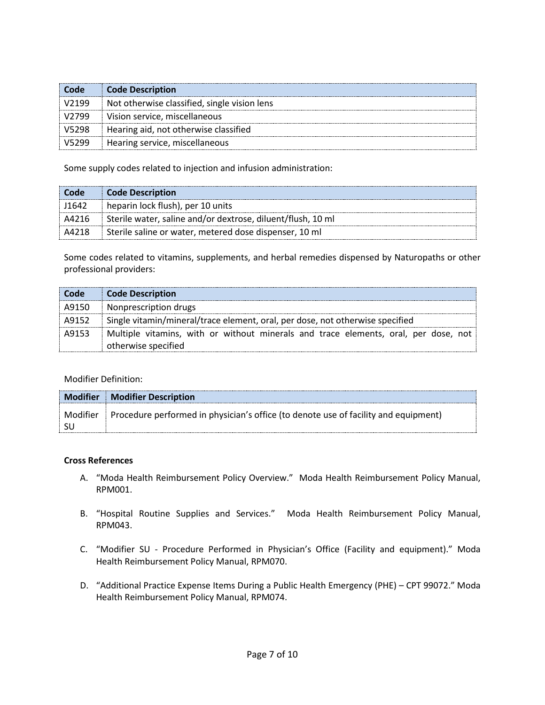| Code    | <b>Code Description</b>                      |
|---------|----------------------------------------------|
| i V2199 | Not otherwise classified, single vision lens |
| V2799   | Vision service, miscellaneous                |
| V5298   | Hearing aid, not otherwise classified        |
| ® V5299 | Hearing service, miscellaneous               |

Some supply codes related to injection and infusion administration:

| <b>Code</b> | Code Description                                            |
|-------------|-------------------------------------------------------------|
| J1642       | heparin lock flush), per 10 units                           |
| A4216       | Sterile water, saline and/or dextrose, diluent/flush, 10 ml |
| A4218       | Sterile saline or water, metered dose dispenser, 10 ml      |

Some codes related to vitamins, supplements, and herbal remedies dispensed by Naturopaths or other professional providers:

| Code <b>Code</b> | <b>Code Description</b>                                                             |
|------------------|-------------------------------------------------------------------------------------|
| A9150            | Nonprescription drugs                                                               |
| A9152            | Single vitamin/mineral/trace element, oral, per dose, not otherwise specified       |
| A9153            | Multiple vitamins, with or without minerals and trace elements, oral, per dose, not |
|                  | otherwise specified                                                                 |

# Modifier Definition:

|          | <b>Modifier   Modifier Description</b>                                                           |
|----------|--------------------------------------------------------------------------------------------------|
| Modifier | $\mathbb{R}$ Procedure performed in physician's office (to denote use of facility and equipment) |
| ່ SU.    |                                                                                                  |

## **Cross References**

- A. "Moda Health Reimbursement Policy Overview." Moda Health Reimbursement Policy Manual, RPM001.
- B. "Hospital Routine Supplies and Services." Moda Health Reimbursement Policy Manual, RPM043.
- C. "Modifier SU Procedure Performed in Physician's Office (Facility and equipment)." Moda Health Reimbursement Policy Manual, RPM070.
- D. "Additional Practice Expense Items During a Public Health Emergency (PHE) CPT 99072." Moda Health Reimbursement Policy Manual, RPM074.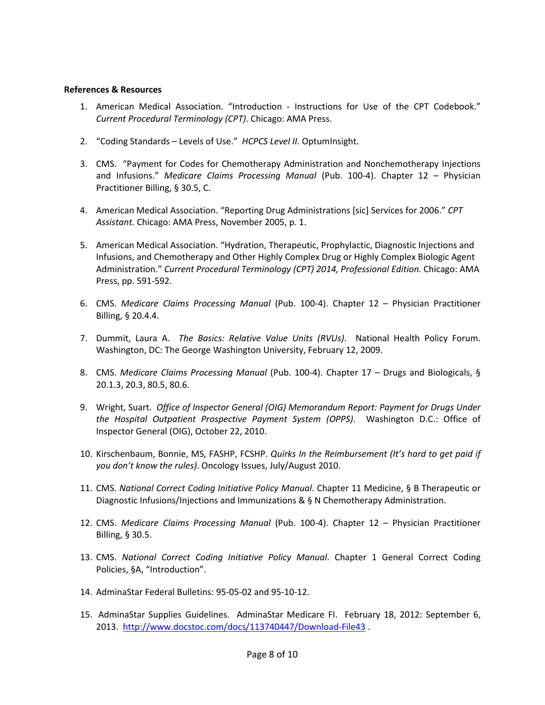### **References & Resources**

- 1. American Medical Association. "Introduction Instructions for Use of the CPT Codebook." *Current Procedural Terminology (CPT)*. Chicago: AMA Press.
- 2. "Coding Standards Levels of Use." *HCPCS Level II.* OptumInsight.
- 3. CMS. "Payment for Codes for Chemotherapy Administration and Nonchemotherapy Injections and Infusions." *Medicare Claims Processing Manual* (Pub. 100-4). Chapter 12 – Physician Practitioner Billing, § 30.5, C.
- 4. American Medical Association. "Reporting Drug Administrations [sic] Services for 2006." *CPT Assistant.* Chicago: AMA Press, November 2005, p. 1.
- 5. American Medical Association. "Hydration, Therapeutic, Prophylactic, Diagnostic Injections and Infusions, and Chemotherapy and Other Highly Complex Drug or Highly Complex Biologic Agent Administration." *Current Procedural Terminology (CPT) 2014, Professional Edition.* Chicago: AMA Press, pp. 591-592.
- 6. CMS. *Medicare Claims Processing Manual* (Pub. 100-4). Chapter 12 Physician Practitioner Billing, § 20.4.4.
- 7. Dummit, Laura A. *The Basics: Relative Value Units (RVUs)*. National Health Policy Forum. Washington, DC: The George Washington University, February 12, 2009.
- 8. CMS. *Medicare Claims Processing Manual* (Pub. 100-4). Chapter 17 Drugs and Biologicals, § 20.1.3, 20.3, 80.5, 80.6.
- 9. Wright, Suart. *Office of Inspector General (OIG) Memorandum Report: Payment for Drugs Under the Hospital Outpatient Prospective Payment System (OPPS)*. Washington D.C.: Office of Inspector General (OIG), October 22, 2010.
- 10. Kirschenbaum, Bonnie, MS, FASHP, FCSHP. *Quirks In the Reimbursement (It's hard to get paid if you don't know the rules)*. Oncology Issues, July/August 2010.
- 11. CMS. *National Correct Coding Initiative Policy Manual*. Chapter 11 Medicine, § B Therapeutic or Diagnostic Infusions/Injections and Immunizations & § N Chemotherapy Administration.
- 12. CMS. *Medicare Claims Processing Manual* (Pub. 100-4). Chapter 12 Physician Practitioner Billing, § 30.5.
- 13. CMS. *National Correct Coding Initiative Policy Manual*. Chapter 1 General Correct Coding Policies, §A, "Introduction".
- 14. AdminaStar Federal Bulletins: 95-05-02 and 95-10-12.
- 15. AdminaStar Supplies Guidelines. AdminaStar Medicare FI. February 18, 2012: September 6, 2013. <http://www.docstoc.com/docs/113740447/Download-File43> .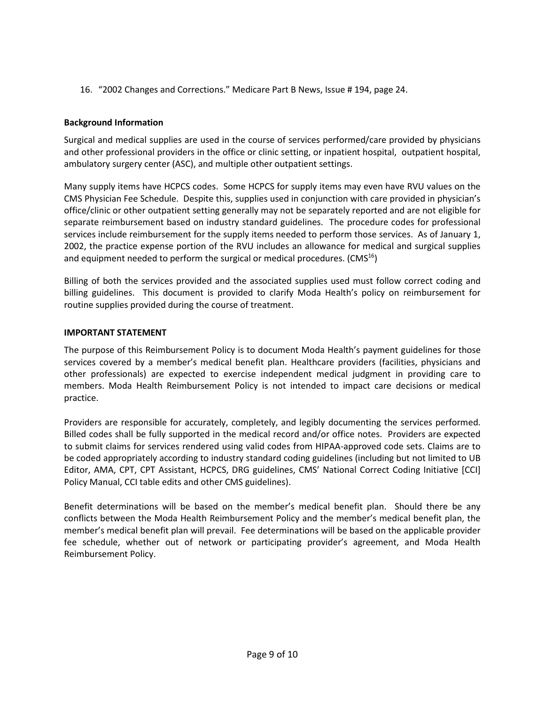16. "2002 Changes and Corrections." Medicare Part B News, Issue # 194, page 24.

## **Background Information**

Surgical and medical supplies are used in the course of services performed/care provided by physicians and other professional providers in the office or clinic setting, or inpatient hospital, outpatient hospital, ambulatory surgery center (ASC), and multiple other outpatient settings.

Many supply items have HCPCS codes. Some HCPCS for supply items may even have RVU values on the CMS Physician Fee Schedule. Despite this, supplies used in conjunction with care provided in physician's office/clinic or other outpatient setting generally may not be separately reported and are not eligible for separate reimbursement based on industry standard guidelines. The procedure codes for professional services include reimbursement for the supply items needed to perform those services. As of January 1, 2002, the practice expense portion of the RVU includes an allowance for medical and surgical supplies and equipment needed to perform the surgical or medical procedures. (CMS $^{16}$ )

Billing of both the services provided and the associated supplies used must follow correct coding and billing guidelines. This document is provided to clarify Moda Health's policy on reimbursement for routine supplies provided during the course of treatment.

## **IMPORTANT STATEMENT**

The purpose of this Reimbursement Policy is to document Moda Health's payment guidelines for those services covered by a member's medical benefit plan. Healthcare providers (facilities, physicians and other professionals) are expected to exercise independent medical judgment in providing care to members. Moda Health Reimbursement Policy is not intended to impact care decisions or medical practice.

Providers are responsible for accurately, completely, and legibly documenting the services performed. Billed codes shall be fully supported in the medical record and/or office notes. Providers are expected to submit claims for services rendered using valid codes from HIPAA-approved code sets. Claims are to be coded appropriately according to industry standard coding guidelines (including but not limited to UB Editor, AMA, CPT, CPT Assistant, HCPCS, DRG guidelines, CMS' National Correct Coding Initiative [CCI] Policy Manual, CCI table edits and other CMS guidelines).

Benefit determinations will be based on the member's medical benefit plan. Should there be any conflicts between the Moda Health Reimbursement Policy and the member's medical benefit plan, the member's medical benefit plan will prevail. Fee determinations will be based on the applicable provider fee schedule, whether out of network or participating provider's agreement, and Moda Health Reimbursement Policy.